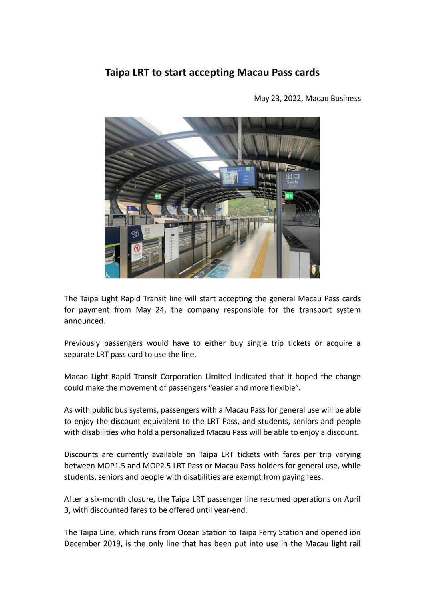## **Taipa LRT to start accepting Macau Pass cards**

May 23, 2022, Macau Business

The Taipa Light Rapid Transit line will start accepting the general Macau Pass cards for payment from May 24, the company responsible for the transport system announced.

Previously passengers would have to either buy single trip tickets or acquire a

separate LRT pass card to use the line.<br>Macao Light Rapid Transit Corporation Limited indicated that it hoped the change could make the movement of passengers "easier and more flexible".

As with public bus systems, passengers with a Macau Pass for general use will be able to enjoy the discount equivalent to the LRT Pass, and students, seniors and people with disabilities who hold a personalized Macau Pass will be able to enjoy a discount.

Discounts are currently available on Taipa LRT tickets with fares per trip varying between MOP1.5 and MOP2.5 LRT Pass or Macau Pass holders for general use, while students, seniors and people with disabilities are exempt from paying fees.

After a six-month closure, the Taipa LRT passenger line resumed operations on April 3, with discounted fares to be offered until year-end.

The Taipa Line, which runs from Ocean Station to Taipa Ferry Station and opened ion December 2019, is the only line that has been put into use in the Macau light rail